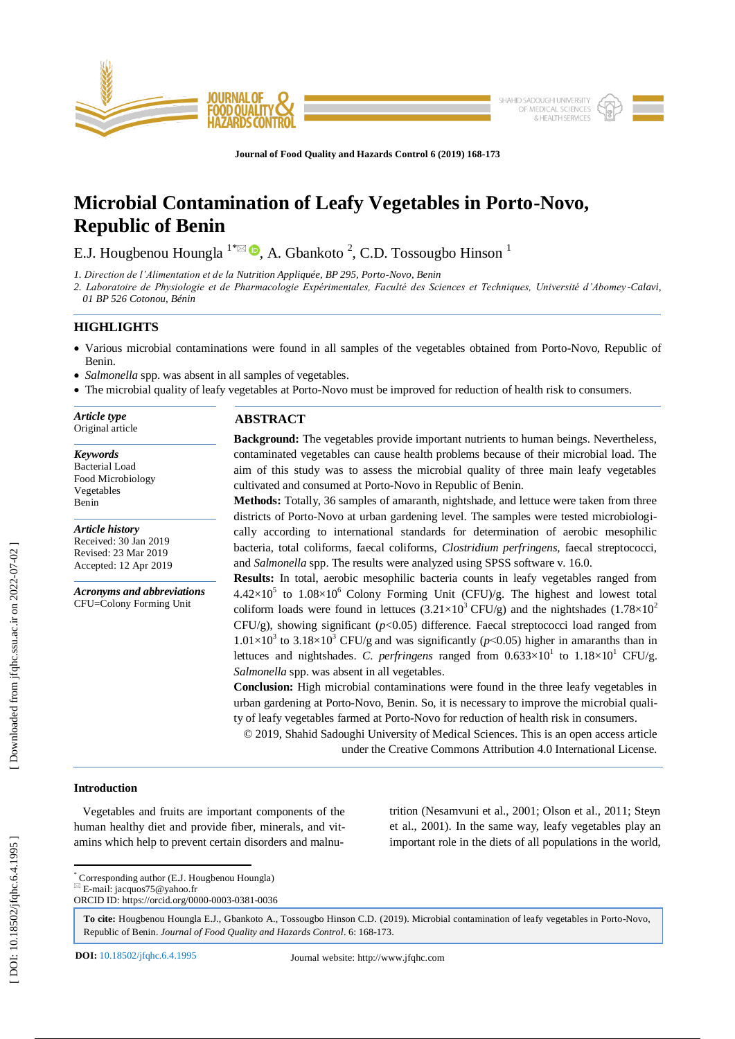

**Journal of Food Quality and Hazards Control 6 (201 9) 168 - 1 7 3**

# **Microbial Contamination of Leafy Vegetables in Porto -Novo, Republic of Benin**

E.J. Hougbenou Houngla  $^{1}$ <sup>\* $\boxtimes$ </sup>  $\bullet$ , A. Gbankoto<sup>2</sup>, C.D. Tossougbo Hinson<sup>1</sup>

*1. Direction de l'Alimentation et de la Nutrition Appliquée, BP 295, Porto -Novo, Benin*

*2. Laboratoire de Physiologie et de Pharmacologie Expérimentales, Faculté des Sciences et Techniques, Université d'Abomey -Calavi, 01 BP 526 Cotonou, Bénin*

# **HIGHLIGHTS**

- Various microbial contaminations were found in all samples of the vegetables obtained from Porto-Novo, Republic of Benin.
- *Salmonella* spp. was absent in all samples of vegetables.
- The microbial quality of leafy vegetables at Porto-Novo must be improved for reduction of health risk to consumers.

*Article type* Original article

*Keywords* Bacterial Load Food Microbiology Vegetables Benin

*Article history* Received: 30 Jan 2019 Revised: 23 Mar 2019 Accepted: 12 Apr 2019

*Acronyms and abbreviations* CFU=Colony Forming Unit

# **ABSTRACT**

**Background:** The vegetables provide important nutrients to human beings. Nevertheless, contaminated vegetables can cause health problems because of their microbial load. The aim of this study was to assess the microbial quality of three main leafy vegetables cultivated and consumed at Porto -Novo in Republic of Benin.

**Methods:** Totally, 36 samples of amaranth, nightshade, and lettuce were taken from three districts of Porto -Novo at urban gardening level. The samples were tested microbiologically according to international standards for determination of aerobic mesophilic bacteria, total coliforms, faecal coliforms, *Clostridium perfringens,* faecal streptococci, and *Salmonella* spp. The results were analyzed using SPSS software v. 16.0.

**Results:** In total, aerobic mesophilic bacteria counts in leafy vegetables ranged from  $4.42\times10^5$  to  $1.08\times10^6$  Colony Forming Unit (CFU)/g. The highest and lowest total coliform loads were found in lettuces  $(3.21\times10^{3} CFU/g)$  and the nightshades  $(1.78\times10^{2} CFI/g)$ CFU/g), showing significant (*p*<0.05) difference. Faecal streptococci load ranged from  $1.01 \times 10^3$  to  $3.18 \times 10^3$  CFU/g and was significantly ( $p$ <0.05) higher in amaranths than in lettuces and nightshades. C. perfringens ranged from  $0.633 \times 10^{1}$  to  $1.18 \times 10^{1}$  CFU/g. *Salmonella* spp. was absent in all vegetables.

**Conclusion:** High microbial contaminations were found in the three leafy vegetables in urban gardening at Porto -Novo, Benin. So, it is necessary to improve the microbial quality of leafy vegetables farmed at Porto-Novo for reduction of health risk in consumers.

© 201 9, Shahid Sadoughi University of Medical Sciences. This is an open access article under the Creative Commons Attribution 4.0 International License.

## **Introduction**

 Vegetables and fruits are important components of the human healthy diet and provide fiber, minerals, and vitamins which help to prevent certain disorders and malnutrition (Nesamvuni et al., 2001; Olson et al., 2011; Steyn et al., 2001). In the same way, leafy vegetables play an important role in the diets of all populations in the world,

\* Corresponding author (E.J. Hougbenou Houngla )

E -mail: jacquos75@yahoo.fr

ORCID ID: https://orcid.org/0000 -0003 -0381 -0036

**To cite:** Hougbenou Houngla E.J., Gbankoto A., Tossougbo Hinson C.D. (201 9). Microbial contamination of leafy vegetables in Porto -Novo, Republic of Benin. Journal of Food Quality and Hazards Control. 6: 168-173.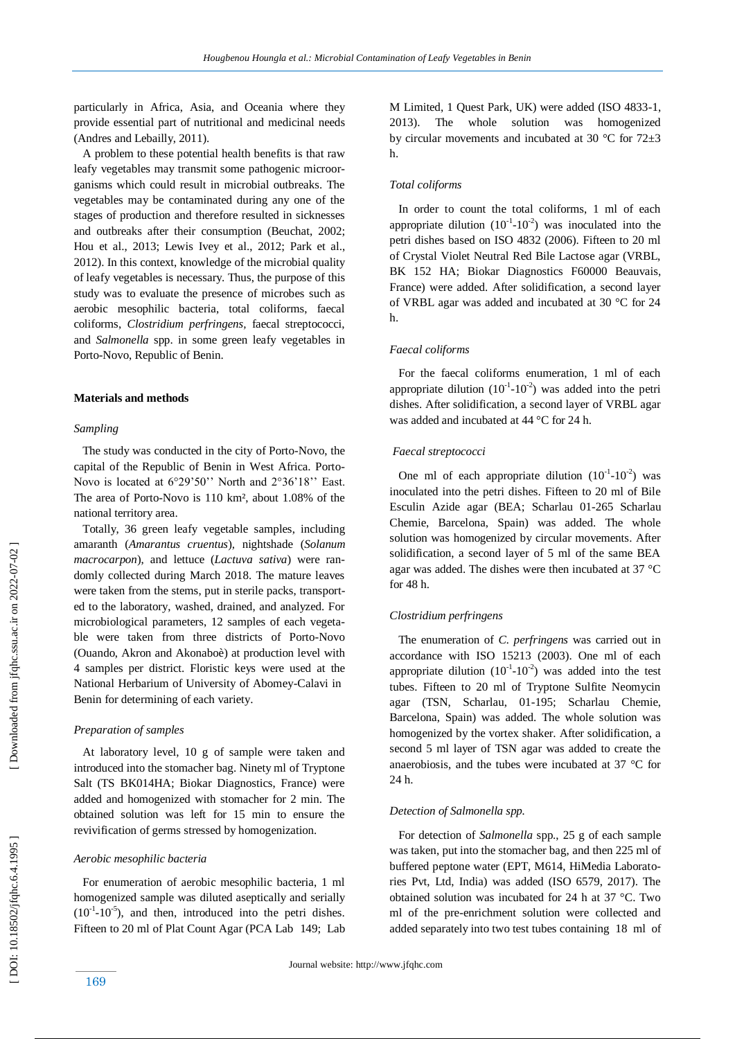particularly in Africa, Asia, and Oceania where they provide essential part of nutritional and medicinal needs (Andres and Lebailly, 2011).

 A problem to these potential health benefits is that raw leafy vegetables may transmit some pathogenic microorganisms which could result in microbial outbreaks. The vegetables may be contaminated during any one of the stages of production and therefore resulted in sicknesses and outbreaks after their consumption (Beuchat, 2002; Hou et al., 2013; Lewis Ivey et al., 2012; Park et al., 2012). In this context, knowledge of the microbial quality of leafy vegetables is necessary. Thus, the purpose of this study was to evaluate the presence of microbes such as aerobic mesophilic bacteria, total coliforms, faecal coliforms, *Clostridium perfringens,* faecal streptococci, and *Salmonella* spp. in some green leafy vegetables in Porto -Novo, Republic of Benin.

# **Materials and methods**

#### *Sampling*

 The study was conducted in the city of Porto -Novo, the capital of the Republic of Benin in West Africa. Porto - Novo is located at 6°29'50'' North and 2°36'18'' East. The area of Porto -Novo is 110 km², about 1.08% of the national territory area.

 Totally, 36 green leafy vegetable samples, including amaranth (*Amarantus cruentus* )*,* nightshade (*Solanum macrocarpon*), and lettuce (*Lactuva sativa* ) were randomly collected during March 2018. The mature leaves were taken from the stems, put in sterile packs, transported to the laboratory, washed, drained, and analyzed. For microbiological parameters, 12 samples of each vegetable were taken from three districts of Porto-Novo (Ouando, Akron and Akonaboè) at production level with 4 samples per district. Floristic keys were used at the National Herbarium of University of Abomey -Calavi in Benin for determining of each variety.

#### *Preparation of samples*

 At laboratory level, 10 g of sample were taken and introduced into the stomacher bag. Ninety ml of Tryptone Salt (TS BK014HA; Biokar Diagnostics, France) were added and homogenized with stomacher for 2 min. The obtained solution was left for 15 min to ensure the revivification of germs stressed by homogenization.

## *Aerobic mesophilic bacteria*

 For enumeration of aerobic mesophilic bacteria, 1 ml homogenized sample was diluted aseptically and serially  $(10^{-1} - 10^{-5})$ , and then, introduced into the petri dishes. Fifteen to 20 ml of Plat Count Agar (PCA Lab 149; Lab

M Limited, 1 Quest Park, UK) were added (ISO 4833 -1, 2013). The whole solution was homogenized by circular movements and incubated at 30  $\degree$ C for 72 $\pm$ 3 h.

#### *Total coliforms*

 In order to count the total coliforms, 1 ml of each appropriate dilution  $(10^{-1}-10^{-2})$  was inoculated into the petri dishes based on ISO 4832 (2006). Fifteen to 20 ml of Crystal Violet Neutral Red Bile Lactose agar (VRBL, BK 152 HA; Biokar Diagnostics F60000 Beauvais, France) were added. After solidification, a second layer of VRBL agar was added and incubated at 30 °C for 24 h.

#### *Faecal coliforms*

 For the faecal coliforms enumeration, 1 ml of each appropriate dilution  $(10^{-1}-10^{-2})$  was added into the petri dishes. After solidification, a second layer of VRBL agar was added and incubated at 44 °C for 24 h.

## *Faecal streptococci*

One ml of each appropriate dilution  $(10^{-1}-10^{-2})$  was inoculated into the petri dishes. Fifteen to 20 ml of Bile Esculin Azide agar (BEA ; Scharlau 01 -265 Scharlau Chemie, Barcelona, Spain) was added. The whole solution was homogenized by circular movements. After solidification, a second layer of 5 ml of the same BEA agar was added. The dishes were then incubated at 37 °C for 48 h.

#### *Clostridium perfringens*

 The enumeration of *C. perfringens* was carried out in accordance with ISO 15213 (2003). One ml of each appropriate dilution  $(10^{-1}-10^{-2})$  was added into the test tubes. Fifteen to 20 ml of Tryptone Sulfite Neomycin agar (TSN, Scharlau, 01 -195; Scharlau Chemie, Barcelona, Spain) was added. The whole solution was homogenized by the vortex shaker. After solidification, a second 5 ml layer of TSN agar was added to create the anaerobiosis , and the tubes were incubated at 37 °C for  $24 h$ 

### *Detection of Salmonella spp.*

 For detection of *Salmonella* spp., 25 g of each sample was taken, put into the stomacher bag, and then 225 ml of buffered peptone water (EPT, M614, HiMedia Laboratories Pvt, Ltd, India) was added (ISO 6579, 2017). The obtained solution was incubated for 24 h at 37 °C. Two ml of the pre -enrichment solution were collected and added separately into two test tubes containing 18 ml of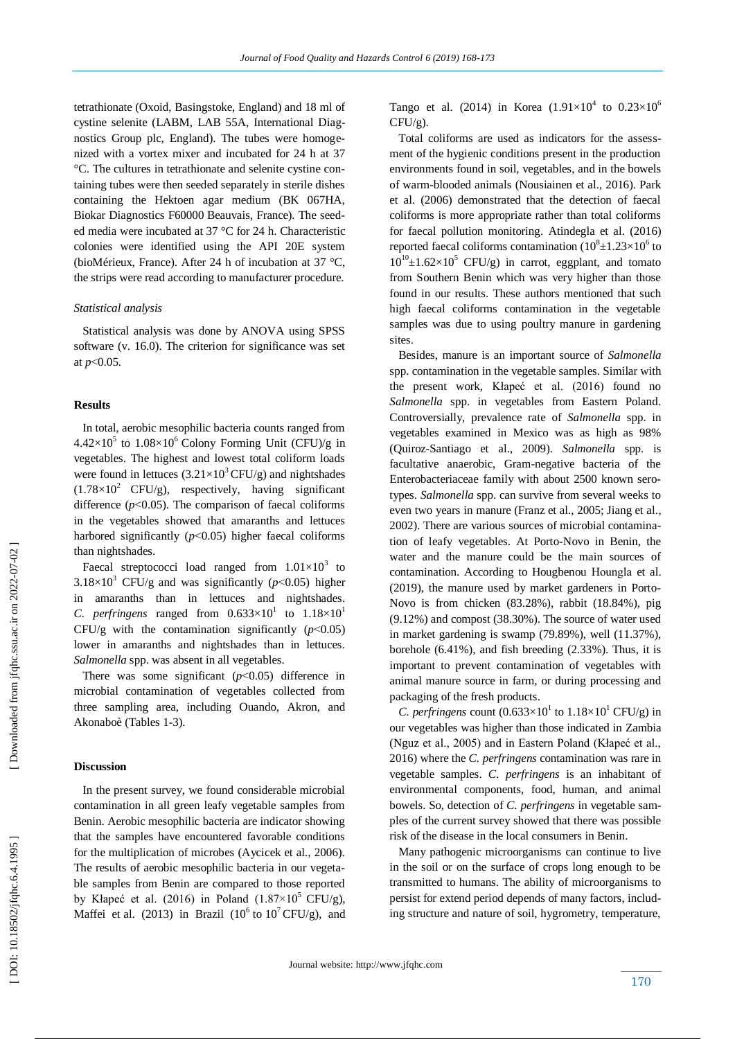tetrathionate (Oxoid, Basingstoke, England) and 18 ml of cystine selenite (LABM, LAB 55A, International Diagnostics Group plc, England). The tubes were homogenized with a vortex mixer and incubated for 24 h at 37 °C. The cultures in tetrathionate and selenite cystine containing tubes were then seeded separately in sterile dishes containing the Hektoen agar medium (BK 067HA, Biokar Diagnostics F60000 Beauvais, France). The seeded media were incubated at 37 °C for 24 h. Characteristic colonies were identified using the API 20E system (bioMérieux, France). After 24 h of incubation at 37 °C, the strips were read according to manufacturer procedure.

### *Statistical analysis*

 Statistical analysis was done by ANOVA using SPSS software (v. 16.0). The criterion for significance was set at *p* ˂0.05 *.*

#### **Results**

 In total, aerobic mesophilic bacteria counts ranged from  $4.42\times10^5$  to  $1.08\times10^6$  Colony Forming Unit (CFU)/g in vegetables. The highest and lowest total coliform loads were found in lettuces  $(3.21 \times 10^3 \text{ CFU/g})$  and nightshades  $(1.78\times10^2 \text{ CFU/g})$ , respectively, having significant difference  $(p<0.05)$ . The comparison of faecal coliforms in the vegetables showed that amaranths and lettuces harbored significantly  $(p<0.05)$  higher faecal coliforms than nightshades.

Faecal streptococci load ranged from  $1.01 \times 10^3$  to  $3.18 \times 10^3$  CFU/g and was significantly ( $p$ <0.05) higher in amaranths than in lettuces and nightshades. *C. perfringens* ranged from  $0.633 \times 10^{1}$  to  $1.18 \times 10^{1}$ CFU/g with the contamination significantly  $(p<0.05)$ lower in amaranths and nightshades than in lettuces. *Salmonella* spp. was absent in all vegetables.

There was some significant  $(p<0.05)$  difference in microbial contamination of vegetables collected from three sampling area, including Ouando, Akron, and Akonaboè (Tables 1-3).

# **Discussion**

 In the present survey, we found considerable microbial contamination in all green leafy vegetable samples from Benin. Aerobic mesophilic bacteria are indicator showing that the samples have encountered favorable conditions for the multiplication of microbes (Aycicek et al., 2006). The results of aerobic mesophilic bacteria in our vegetable samples from Benin are compared to those reported by Kłapeć et al. (2016) in Poland  $(1.87\times10^5$  CFU/g), Maffei et al. (2013) in Brazil (10<sup>6</sup> to 10<sup>7</sup> CFU/g), and Tango et al. (2014) in Korea  $(1.91 \times 10^{4}$  to  $0.23 \times 10^{6}$  $CFU/g$ ).

 Total coliforms are used as indicators for the assessment of the hygienic conditions present in the production environments found in soil, vegetables, and in the bowels of warm -blooded animals (Nousiainen et al., 2016). Park et al. (2006) demonstrated that the detection of faecal coliforms is more appropriate rather than total coliforms for faecal pollution monitoring. Atindegla et al. (2016) reported faecal coliforms contamination  $(10^8 \pm 1.23 \times 10^6)$  to  $10^{10}$ ±1.62×10<sup>5</sup> CFU/g) in carrot, eggplant, and tomato from Southern Benin which was very higher than those found in our results. These authors mentioned that such high faecal coliforms contamination in the vegetable samples was due to using poultry manure in gardening sites.

 Besides, manure is an important source of *Salmonella*  spp. contamination in the vegetable samples. Similar with the present work, Kłapeć et al. (2016) found no *Salmonella* spp. in vegetables from Eastern Poland. Controversially, prevalence rate of *Salmonella* spp. in vegetables examined in Mexico was as high as 98% (Quiroz-Santiago et al., 2009). *Salmonella* spp*.* is facultative anaerobic, Gram -negative bacteria of the Enterobacteriaceae family with about 2500 known serotypes. *Salmonella* spp. can survive from several weeks to even two years in manure (Franz et al., 2005; Jiang et al.*,*  2002). There are various sources of microbial contamination of leafy vegetables. At Porto-Novo in Benin, the water and the manure could be the main sources of contamination. According to Hougbenou Houngla et al. (2019), the manure used by market gardeners in Porto - Novo is from chicken (83.28%), rabbit (18.84%), pig (9 .12%) and compost (38.30%). The source of water used in market gardening is swamp (79.89%), well (11.37%), borehole (6.41%) , and fish breeding (2.33%). Thus, it is important to prevent contamination of vegetables with animal manure source in farm, or during processing and packaging of the fresh products.

*C. perfringens* count  $(0.633 \times 10^1 \text{ to } 1.18 \times 10^1 \text{ CFU/g})$  in our vegetables was higher than those indicated in Zambia (Nguz et al., 2005) and in Eastern Poland (Kłapeć et al., 2016) where the *C. perfringens* contamination was rare in vegetable samples. *C. perfringens* is an inhabitant of environmental components, food, human, and animal bowels. So, detection of *C. perfringens* in vegetable samples of the current survey showed that there was possible risk of the disease in the local consumers in Benin.

 Many pathogenic microorganisms can continue to live in the soil or on the surface of crops long enough to be transmitted to humans. The ability of microorganisms to persist for extend period depends of many factors, includ ing structure and nature of soil, hygrometry, temperature,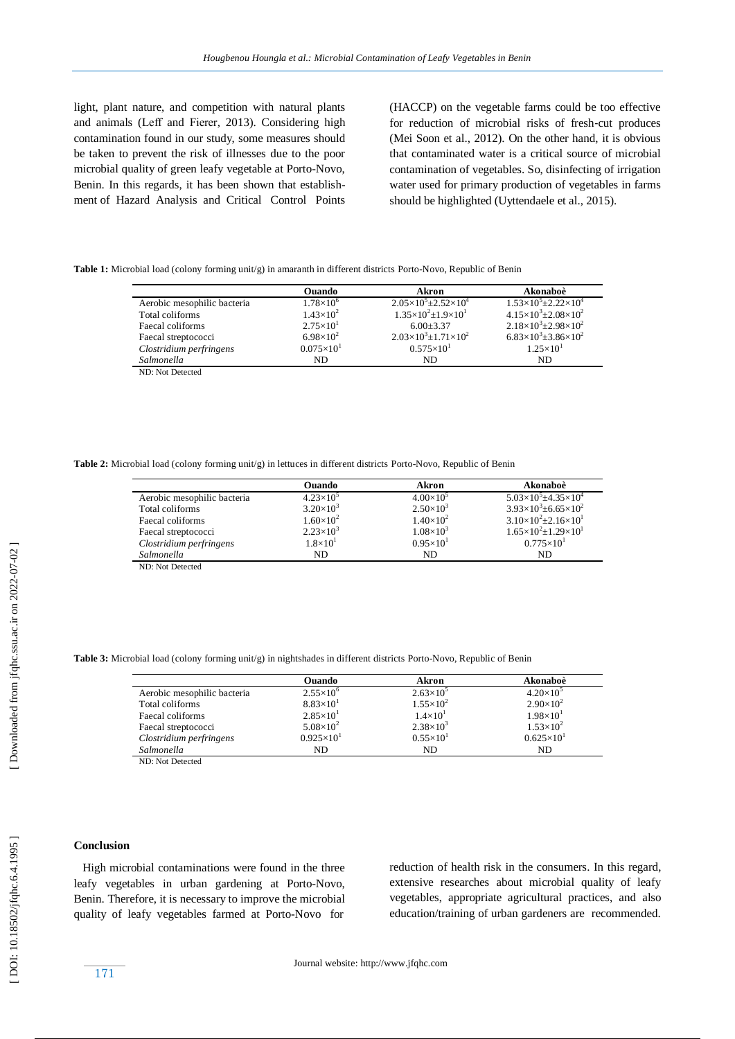light, plant nature, and competition with natural plants and animals (Leff and Fierer, 2013). Considering high contamination found in our study, some measures should be taken to prevent the risk of illnesses due to the poor microbial quality of green leafy vegetable at Porto -Novo, Benin. In this regards, it has been shown that establishment of Hazard Analysis and Critical Control Points

(HACCP) on the vegetable farms could be too effective for reduction of microbial risks of fresh-cut produces (Mei Soon et al., 2012). On the other hand, it is obvious that contaminated water is a critical source of microbial contamination of vegetables. So, disinfecting of irrigation water used for primary production of vegetables in farms should be highlighted (Uyttendaele et al., 2015).

Table 1: Microbial load (colony forming unit/g) in amaranth in different districts Porto-Novo, Republic of Benin

|                             | Ouando              | Akron                                   | Akonaboè                                 |
|-----------------------------|---------------------|-----------------------------------------|------------------------------------------|
| Aerobic mesophilic bacteria | $1.78\times10^{6}$  | $2.05\times10^{5} \pm 2.52\times10^{4}$ | $1.53\times10^{5} \pm 2.22\times10^{4}$  |
| Total coliforms             | $1.43\times10^{2}$  | $1.35\times10^{2}$ ±1.9×10 <sup>1</sup> | $4.15\times10^{3} \pm 2.08\times10^{2}$  |
| Faecal coliforms            | $2.75\times10^{1}$  | $6.00 + 3.37$                           | $2.18\times10^{3}$ ±2.98×10 <sup>2</sup> |
| Faecal streptococci         | $6.98\times10^{2}$  | $2.03\times10^{3} \pm 1.71\times10^{2}$ | $6.83\times10^{3}$ ± 3.86 $\times10^{2}$ |
| Clostridium perfringens     | $0.075\times10^{1}$ | $0.575 \times 10^{1}$                   | $1.25\times10^{1}$                       |
| Salmonella                  | ND.                 | ND.                                     | ND                                       |
| ND: Not Detected            |                     |                                         |                                          |

**Table 2:** Microbial load (colony forming unit/g) in lettuces in different districts Porto -Novo, Republic of Benin

|                             | Ouando              | Akron              | Akonaboè                                 |
|-----------------------------|---------------------|--------------------|------------------------------------------|
| Aerobic mesophilic bacteria | $4.23\times10^{5}$  | $4.00\times10^{5}$ | $5.03\times10^{5}$ ±4.35 $\times10^{4}$  |
| Total coliforms             | $3.20\times10^{3}$  | $2.50\times10^{3}$ | $3.93\times10^{3}$ ± 6.65 $\times10^{2}$ |
| Faecal coliforms            | $1.60\times10^{2}$  | $1.40\times10^{2}$ | $3.10\times10^{2}$ ± 2.16 $\times10^{1}$ |
| Faecal streptococci         | $2.23\times10^{3}$  | $1.08\times10^{3}$ | $1.65\times10^{2}$ ±1.29×10 <sup>1</sup> |
| Clostridium perfringens     | $1.8 \times 10^{1}$ | $0.95\times10^{1}$ | $0.775 \times 10^{1}$                    |
| Salmonella                  | ND.                 | ND                 | ND                                       |
|                             |                     |                    |                                          |

ND: Not Detected

**Table 3:** Microbial load (colony forming unit/g) in nightshades in different districts Porto -Novo, Republic of Benin

|                             | Ouando               | Akron              | Akonaboè              |
|-----------------------------|----------------------|--------------------|-----------------------|
| Aerobic mesophilic bacteria | $2.55 \times 10^{6}$ | $2.63\times10^{5}$ | $4.20\times10^{5}$    |
| Total coliforms             | $8.83\times10^{1}$   | $1.55\times10^{2}$ | $2.90\times10^{2}$    |
| Faecal coliforms            | $2.85\times10^{1}$   | $1.4\times10^{1}$  | $1.98\times10^{1}$    |
| Faecal streptococci         | $5.08\times10^{2}$   | $2.38\times10^{3}$ | $1.53\times10^{2}$    |
| Clostridium perfringens     | $0.925\times10^{1}$  | $0.55\times10^{1}$ | $0.625 \times 10^{1}$ |
| Salmonella                  | ND                   | ND.                | ND                    |

ND: Not Detected

# **Conclusion**

 High microbial contaminations were found in the three leafy vegetables in urban gardening at Porto -Novo, Benin. Therefore, it is necessary to improve the microbial quality of leafy vegetables farmed at Porto -Novo for

reduction of health risk in the consumers. In this regard, extensive researches about microbial quality of leafy vegetables, appropriate agricultural practices, and also education/training of urban gardeners are recommended.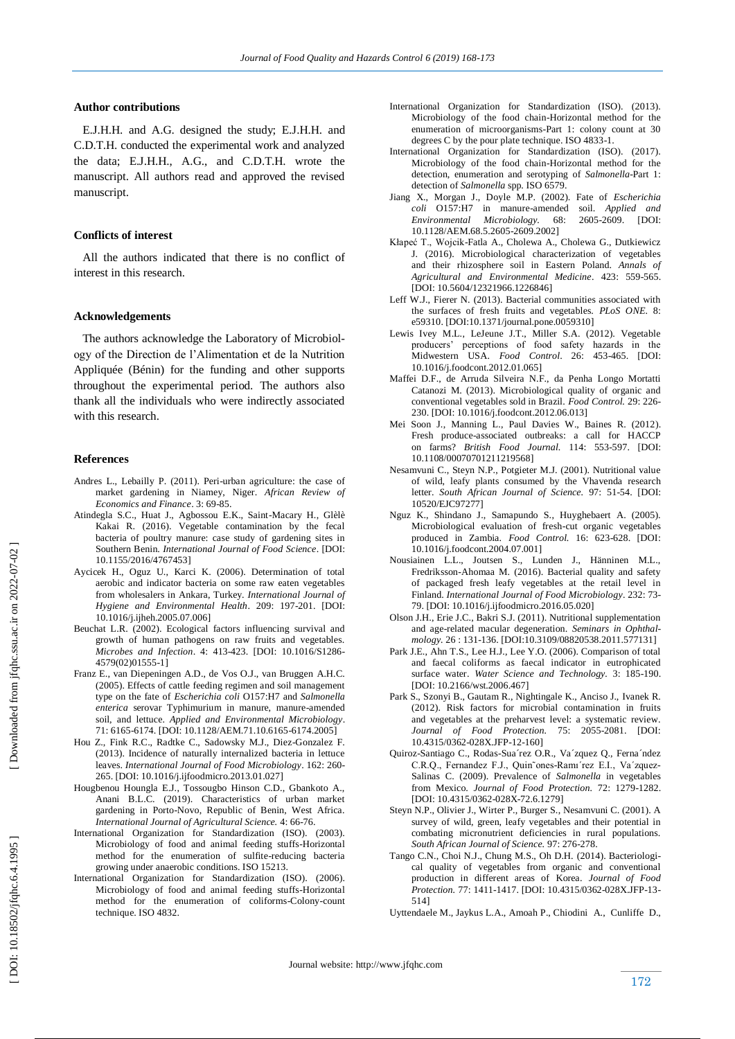## **Author contributions**

 E.J.H.H. and A.G. designed the study; E.J.H.H. and C.D.T.H. conducted the experimental work and analyzed the data; E.J.H.H., A.G., and C.D.T.H. wrote the manuscript. All authors read and approved the revised manuscript.

#### **Conflicts of interest**

 All the authors indicated that there is no conflict of interest in this research.

#### **Acknowledgements**

 The authors acknowledge the Laboratory of Microbiology of the Direction de l'Alimentation et de la Nutrition Appliquée (Bénin) for the funding and other supports throughout the experimental period. The authors also thank all the individuals who were indirectly associated with this research .

#### **Reference s**

- Andres L., Lebailly P. (2011). Peri -urban agriculture: the case of market gardening in Niamey, Niger. *African Review of Economics and Finance*. 3: 69 -85.
- Atindegla S.C., Huat J., Agbossou E.K., Saint -Macary H., Glèlè Kakai R. (2016). Vegetable contamination by the fecal bacteria of poultry manure: case study of gardening sites in Southern Benin. *International Journal of Food Science*. [DOI: [10.1155/2016/4767453](http://dx.doi.org/10.1155/2016/4767453) ]
- Aycicek H., Oguz U., Karci K. (2006). Determination of total aerobic and indicator bacteria on some raw eaten vegetables from wholesalers in Ankara, Turkey. *International Journal of Hygiene and Environmental Health*. 209: 197 -201. [DOI: 10.1016/j.ijheh.2005.07.006]
- Beuchat L.R. (2002). Ecological factors influencing survival and growth of human pathogens on raw fruits and vegetables. Microbes and Infection. 4: 413-423. [DOI: 10.1016/S1286-4579(02)01555 -1]
- Franz E., van Diepeningen A.D., de Vos O.J., van Bruggen A.H.C. (2005). Effects of cattle feeding regimen and soil management type on the fate of *Escherichia coli* O157:H7 and *Salmonella enterica* serovar Typhimurium in manure, manure -amended soil, and lettuce. *Applied and Environmental Microbiology*. 71: 6165 -6174. [DOI: 10.1128/AEM.71.10.6165 -6174.2005]
- Hou Z., Fink R.C., Radtke C., Sadowsky M.J., Diez -Gonzalez F. (2013). Incidence of naturally internalized bacteria in lettuce leaves. *International Journal of Food Microbiology*. 162: 260 - 265. [DOI: 10.1016/j.ijfoodmicro.2013.01.027]
- Hougbenou Houngla E.J., Tossougbo Hinson C.D., Gbankoto A., Anani B.L.C. (2019). Characteristics of urban market gardening in Porto -Novo, Republic of Benin, West Africa. *International Journal of Agricultural Science.* 4: 66 -76.
- International Organization for Standardization (ISO). (2003). Microbiology of food and animal feeding stuffs -Horizontal method for the enumeration of sulfite -reducing bacteria growing under anaerobic conditions. ISO 15213.
- International Organization for Standardization (ISO). (2006). Microbiology of food and animal feeding stuffs -Horizontal method for the enumeration of coliforms-Colony-count technique. ISO 4832.
- International Organization for Standardization (ISO). (2013). Microbiology of the food chain -Horizontal method for the enumeration of microorganisms -Part 1: colony count at 30 degrees C by the pour plate technique. ISO 4833 -1.
- International Organization for Standardization (ISO). (2017). Microbiology of the food chain -Horizontal method for the detection, enumeration and serotyping of *Salmonella*-Part 1: detection of *Salmonella* spp. ISO 6579.
- Jiang X., Morgan J., Doyle M.P. (2002). Fate of *Escherichia coli* O157:H7 in manure -amended soil. *Applied and Environmental Microbiology.* 68: 2605 -2609. [DOI: 10.1128/AEM.68.5.2605 -2609.2002]
- Kłapeć T., Wojcik -Fatla A., Cholewa A., Cholewa G., Dutkiewicz J. (2016) . Microbiological characterization of vegetables and their rhizosphere soil in Eastern Poland. *Annals of Agricultural and Environmental Medicine*. 423: 559 -565. [DOI: 10.5604/12321966.1226846]
- Leff W.J., Fierer N. (2013). Bacterial communities associated with the surfaces of fresh fruits and vegetables. *PLoS ONE*. 8: e59310 . [DOI[:10.1371/journal.pone.0059310](http://dx.doi.org/10.1371/journal.pone.0059310) ]
- Lewis Ivey M.L., LeJeune J.T., Miller S.A. (2012). Vegetable producers' perceptions of food safety hazards in the Midwestern USA. *Food Control*. 26: 453 -465. [DOI: 10.1016/j.foodcont.2012.01.065]
- Maffei D.F., de Arruda Silveira N.F., da Penha Longo Mortatti Catanozi M. (2013). Microbiological quality of organic and conventional vegetables sold in Brazil. *Food Control.* 29: 226 - 230. [DOI: 10.1016/j.foodcont.2012.06.013]
- Mei Soon J., Manning L., Paul Davies W., Baines R. (2012). Fresh produce -associated outbreaks: a call for HACCP on farms? *British Food Journal.* 114: 553 -597. [DOI: 10.1108/00070701211219568]
- Nesamvuni C., Steyn N.P., Potgieter M.J. (2001). Nutritional value of wild, leafy plants consumed by the Vhavenda research letter. *South African Journal of Science.* 97: 51 -54. [DOI: 10520/EJC97277]
- Nguz K., Shindano J., Samapundo S., Huyghebaert A. (2005). Microbiological evaluation of fresh -cut organic vegetables produced in Zambia. Food Control. 16: 623-628. [DOI: 10.1016/j.foodcont.2004.07.001]
- Nousiainen L.L., Joutsen S., Lunden J., Hänninen M.L., Fredriksson -Ahomaa M. (2016). Bacterial quality and safety of packaged fresh leafy vegetables at the retail level in Finland. *International Journal of Food Microbiology*. 232: 73 - 79. [DOI: 10.1016/j.ijfoodmicro.2016.05.020]
- Olson J.H., Erie J.C., Bakri S.J. (2011). Nutritional supplementation and age -related macular degeneration. *Seminars in Ophthalmology.* 26 : 131-136. [DOI:10.3109/08820538.2011.577131]
- Park J.E., Ahn T.S., Lee H.J., Lee Y.O. (2006). Comparison of total and faecal coliforms as faecal indicator in eutrophicated surface water. *Water Science and Technology.* 3: 185 -190. [DOI: 10.2166/wst.2006.467]
- Park S., Szonyi B., Gautam R., Nightingale K., Anciso J., Ivanek R. (2012). Risk factors for microbial contamination in fruits and vegetables at the preharvest level: a systematic review. *Journal of Food Protection.* 75: 2055 -2081. [DOI: 10.4315/0362 -028X.JFP -12 -160]
- Quiroz -Santiago C., Rodas -Sua´rez O.R., Va´zquez Q., Ferna´ndez C.R.Q., Fernandez F.J., Quin~ones-Ramı'rez E.I., Va'zquez-Salinas C. (2009). Prevalence of *Salmonella* in vegetables from Mexico. Journal of Food Protection. 72: 1279-1282. [DOI: 10.4315/0362-028X-72.6.1279]
- Steyn N.P., Olivier J., Wirter P., Burger S., Nesamvuni C. (2001). A survey of wild, green, leafy vegetables and their potential in combating micronutrient deficiencies in rural populations. *South African Journal of Science.* 97: 276 -278.
- Tango C.N., Choi N.J., Chung M.S., Oh D.H. (2014). Bacteriological quality of vegetables from organic and conventional production in different areas of Korea. *Journal of Food*  Protection. 77: 1411-1417. [DOI: 10.4315/0362-028X.JFP-13-514]
- Uyttendaele M., Jaykus L.A., Amoah P., Chiodini A., Cunliffe D.,

Downloaded from jfqhc.ssu.ac.ir on 2022-07-02